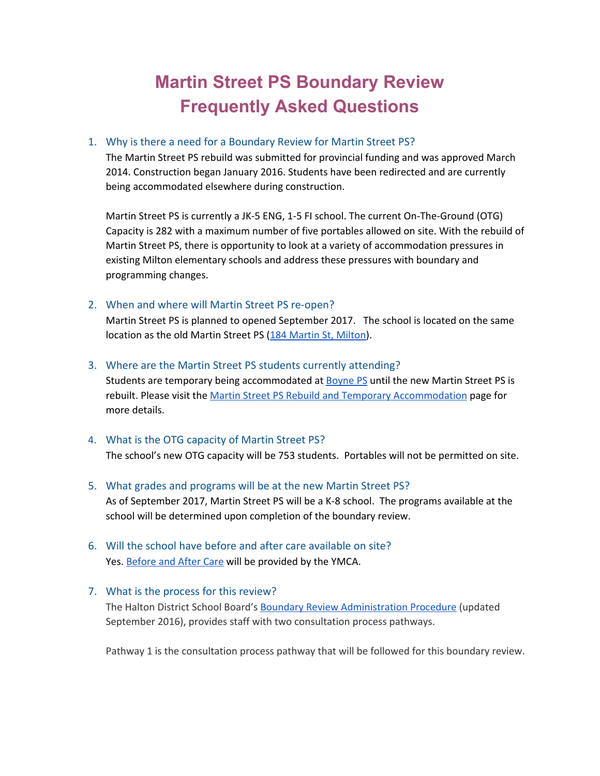# **Martin Street PS Boundary Review Frequently Asked Questions**

### 1. Why is there a need for a Boundary Review for Martin Street PS?

The Martin Street PS rebuild was submitted for provincial funding and was approved March 2014. Construction began January 2016. Students have been redirected and are currently being accommodated elsewhere during construction.

Martin Street PS is currently a JK-5 ENG, 1-5 FI school. The current On-The-Ground (OTG) Capacity is 282 with a maximum number of five portables allowed on site. With the rebuild of Martin Street PS, there is opportunity to look at a variety of accommodation pressures in existing Milton elementary schools and address these pressures with boundary and programming changes.

# 2. When and where will Martin Street PS re-open?

Martin Street PS is planned to opened September 2017. The school is located on the same location as the old Martin Street PS [\(184 Martin St, Milton\)](https://www.google.ca/maps/place/Martin+Street+Jr+Public+School/@43.5161955,-79.8911864,17z/data=!4m13!1m7!3m6!1s0x882b6fbda3a0313d:0xc2b20822eee95865!2s184+Martin+St,+Milton,+ON+L9T+2R4!3b1!8m2!3d43.5161916!4d-79.8889977!3m4!1s0x882b6fbd0840b559:0xa6bdc4d1b1a2584d!8m2!3d43.5164199!4d-79.888389).

#### 3. Where are the Martin Street PS students currently attending?

Students are temporary being accommodated at **Boyne PS** until the new Martin Street PS is rebuilt. Please visit the [Martin Street PS Rebuild and Temporary Accommodation](https://www.hdsb.ca/schools/Pages/School%20Boundary%20Reviews/2016-Milton-MAR-Rebuild.aspx) page for more details.

# 4. What is the OTG capacity of Martin Street PS?

The school's new OTG capacity will be 753 students. Portables will not be permitted on site.

#### 5. What grades and programs will be at the new Martin Street PS?

As of September 2017, Martin Street PS will be a K-8 school. The programs available at the school will be determined upon completion of the boundary review.

6. Will the school have before and after care available on site? Yes. [Before and After Care](https://www.hdsb.ca/parents/Pages/Before-and-After-School-Care.aspx) will be provided by the YMCA.

# 7. What is the process for this review?

The Halton District School Board's [Boundary Review Administration Procedure](https://www.hdsb.ca/our-board/Policy/BoundaryReviewsSchools.pdf) (updated September 2016), provides staff with two consultation process pathways.

Pathway 1 is the consultation process pathway that will be followed for this boundary review.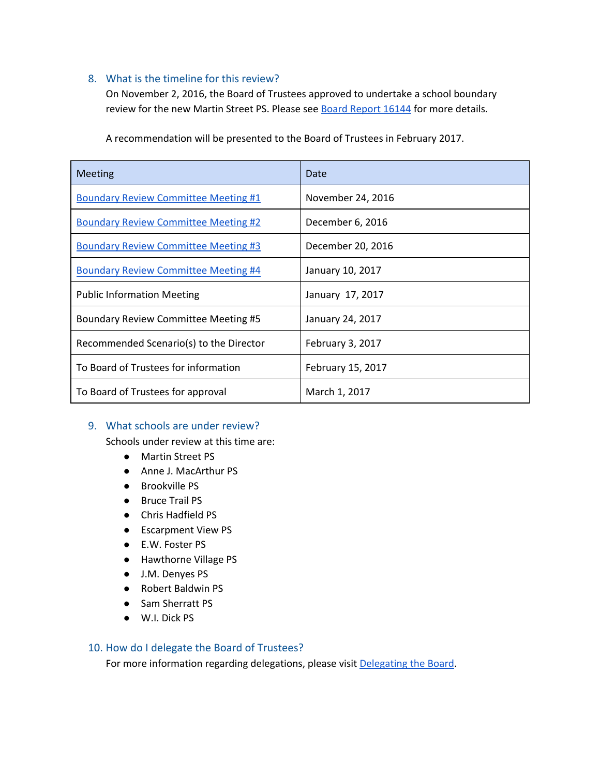# 8. What is the timeline for this review?

On November 2, 2016, the Board of Trustees approved to undertake a school boundary review for the new Martin Street PS. Please see **Board Report 16144** for more details.

| <b>Meeting</b>                              | Date              |
|---------------------------------------------|-------------------|
| <b>Boundary Review Committee Meeting #1</b> | November 24, 2016 |
| <b>Boundary Review Committee Meeting #2</b> | December 6, 2016  |
| <b>Boundary Review Committee Meeting #3</b> | December 20, 2016 |
| <b>Boundary Review Committee Meeting #4</b> | January 10, 2017  |
| <b>Public Information Meeting</b>           | January 17, 2017  |
| <b>Boundary Review Committee Meeting #5</b> | January 24, 2017  |
| Recommended Scenario(s) to the Director     | February 3, 2017  |
| To Board of Trustees for information        | February 15, 2017 |
| To Board of Trustees for approval           | March 1, 2017     |

A recommendation will be presented to the Board of Trustees in February 2017.

# 9. What schools are under review?

Schools under review at this time are:

- Martin Street PS
- Anne J. MacArthur PS
- Brookville PS
- Bruce Trail PS
- Chris Hadfield PS
- Escarpment View PS
- E.W. Foster PS
- Hawthorne Village PS
- J.M. Denyes PS
- Robert Baldwin PS
- Sam Sherratt PS
- W.I. Dick PS

#### 10. How do I delegate the Board of Trustees?

For more information regarding delegations, please visit [Delegating the Board.](https://www.hdsb.ca/our-board/Pages/Board%20of%20Trustees/Delegating-the-Board.aspx)